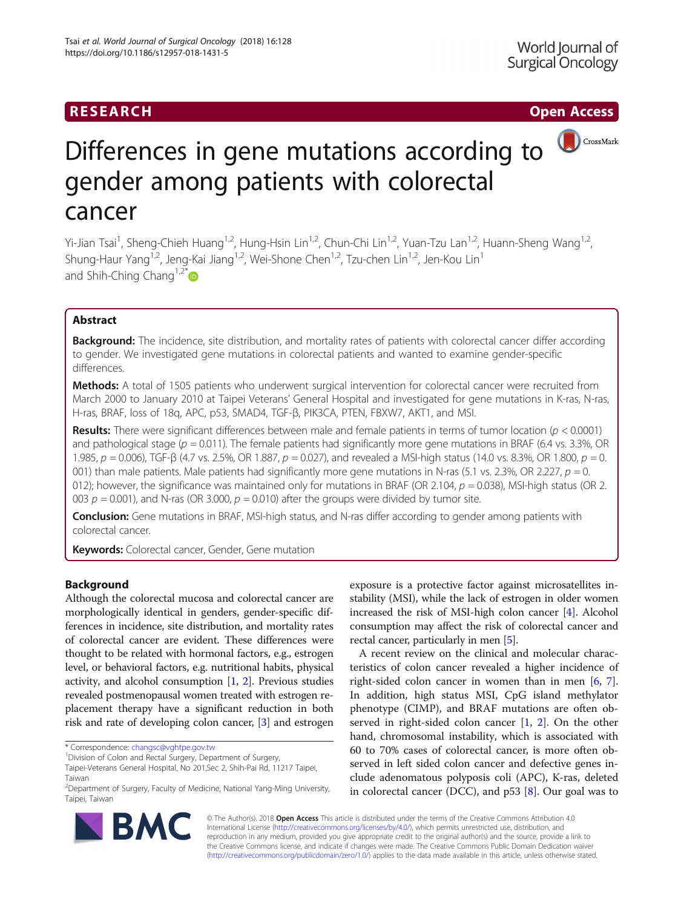# RESEARCH **RESEARCH CHOOSE INTERNATIONAL CONTRACT CONTRACT CONTRACT CONTRACT CONTRACT CONTRACT CONTRACT CONTRACT CONTRACT CONTRACT CONTRACT CONTRACT CONTRACT CONTRACT CONTRACT CONTRACT CONTRACT CONTRACT CONTRACT CONTRACT**



# Differences in gene mutations according to gender among patients with colorectal cancer

Yi-Jian Tsai<sup>1</sup>, Sheng-Chieh Huang<sup>1,2</sup>, Hung-Hsin Lin<sup>1,2</sup>, Chun-Chi Lin<sup>1,2</sup>, Yuan-Tzu Lan<sup>1,2</sup>, Huann-Sheng Wang<sup>1,2</sup>, Shung-Haur Yang<sup>1,2</sup>, Jeng-Kai Jiang<sup>1,2</sup>, Wei-Shone Chen<sup>1,2</sup>, Tzu-chen Lin<sup>1,2</sup>, Jen-Kou Lin<sup>1</sup> and Shih-Ching Chang<sup>1,2\*</sup> $\bullet$ 

# Abstract

Background: The incidence, site distribution, and mortality rates of patients with colorectal cancer differ according to gender. We investigated gene mutations in colorectal patients and wanted to examine gender-specific differences.

Methods: A total of 1505 patients who underwent surgical intervention for colorectal cancer were recruited from March 2000 to January 2010 at Taipei Veterans' General Hospital and investigated for gene mutations in K-ras, N-ras, H-ras, BRAF, loss of 18q, APC, p53, SMAD4, TGF-β, PIK3CA, PTEN, FBXW7, AKT1, and MSI.

**Results:** There were significant differences between male and female patients in terms of tumor location ( $p < 0.0001$ ) and pathological stage ( $p = 0.011$ ). The female patients had significantly more gene mutations in BRAF (6.4 vs. 3.3%, OR 1.985,  $p = 0.006$ ), TGF-β (4.7 vs. 2.5%, OR 1.887,  $p = 0.027$ ), and revealed a MSI-high status (14.0 vs. 8.3%, OR 1.800,  $p = 0$ . 001) than male patients. Male patients had significantly more gene mutations in N-ras (5.1 vs. 2.3%, OR 2.227,  $p = 0$ . 012); however, the significance was maintained only for mutations in BRAF (OR 2.104,  $p = 0.038$ ), MSI-high status (OR 2. 003  $p = 0.001$ ), and N-ras (OR 3.000,  $p = 0.010$ ) after the groups were divided by tumor site.

**Conclusion:** Gene mutations in BRAF, MSI-high status, and N-ras differ according to gender among patients with colorectal cancer.

Keywords: Colorectal cancer, Gender, Gene mutation

# Background

Although the colorectal mucosa and colorectal cancer are morphologically identical in genders, gender-specific differences in incidence, site distribution, and mortality rates of colorectal cancer are evident. These differences were thought to be related with hormonal factors, e.g., estrogen level, or behavioral factors, e.g. nutritional habits, physical activity, and alcohol consumption [[1,](#page-3-0) [2](#page-3-0)]. Previous studies revealed postmenopausal women treated with estrogen replacement therapy have a significant reduction in both risk and rate of developing colon cancer, [\[3](#page-3-0)] and estrogen

\* Correspondence: [changsc@vghtpe.gov.tw](mailto:changsc@vghtpe.gov.tw) <sup>1</sup>

exposure is a protective factor against microsatellites instability (MSI), while the lack of estrogen in older women increased the risk of MSI-high colon cancer [\[4](#page-3-0)]. Alcohol consumption may affect the risk of colorectal cancer and rectal cancer, particularly in men [\[5](#page-3-0)].

A recent review on the clinical and molecular characteristics of colon cancer revealed a higher incidence of right-sided colon cancer in women than in men [\[6,](#page-3-0) [7](#page-4-0)]. In addition, high status MSI, CpG island methylator phenotype (CIMP), and BRAF mutations are often observed in right-sided colon cancer [[1,](#page-3-0) [2\]](#page-3-0). On the other hand, chromosomal instability, which is associated with 60 to 70% cases of colorectal cancer, is more often observed in left sided colon cancer and defective genes include adenomatous polyposis coli (APC), K-ras, deleted in colorectal cancer (DCC), and p53 [[8](#page-4-0)]. Our goal was to



© The Author(s). 2018 Open Access This article is distributed under the terms of the Creative Commons Attribution 4.0 International License [\(http://creativecommons.org/licenses/by/4.0/](http://creativecommons.org/licenses/by/4.0/)), which permits unrestricted use, distribution, and reproduction in any medium, provided you give appropriate credit to the original author(s) and the source, provide a link to the Creative Commons license, and indicate if changes were made. The Creative Commons Public Domain Dedication waiver [\(http://creativecommons.org/publicdomain/zero/1.0/](http://creativecommons.org/publicdomain/zero/1.0/)) applies to the data made available in this article, unless otherwise stated.

<sup>&</sup>lt;sup>1</sup> Division of Colon and Rectal Surgery, Department of Surgery,

Taipei-Veterans General Hospital, No 201,Sec 2, Shih-Pai Rd, 11217 Taipei, Taiwan

<sup>&</sup>lt;sup>2</sup>Department of Surgery, Faculty of Medicine, National Yang-Ming University, Taipei, Taiwan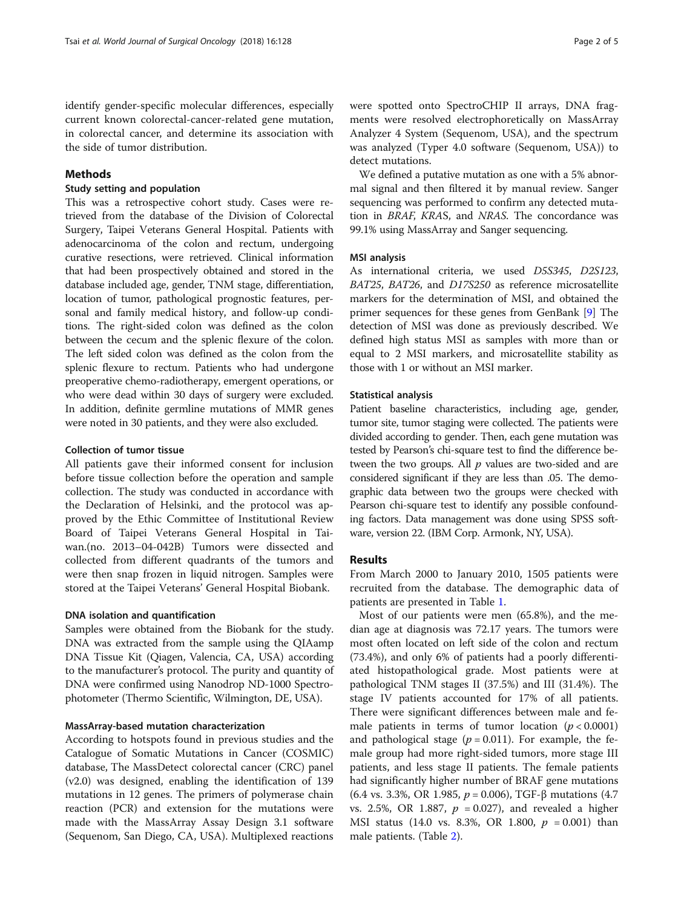identify gender-specific molecular differences, especially current known colorectal-cancer-related gene mutation, in colorectal cancer, and determine its association with the side of tumor distribution.

# Methods

# Study setting and population

This was a retrospective cohort study. Cases were retrieved from the database of the Division of Colorectal Surgery, Taipei Veterans General Hospital. Patients with adenocarcinoma of the colon and rectum, undergoing curative resections, were retrieved. Clinical information that had been prospectively obtained and stored in the database included age, gender, TNM stage, differentiation, location of tumor, pathological prognostic features, personal and family medical history, and follow-up conditions. The right-sided colon was defined as the colon between the cecum and the splenic flexure of the colon. The left sided colon was defined as the colon from the splenic flexure to rectum. Patients who had undergone preoperative chemo-radiotherapy, emergent operations, or who were dead within 30 days of surgery were excluded. In addition, definite germline mutations of MMR genes were noted in 30 patients, and they were also excluded.

# Collection of tumor tissue

All patients gave their informed consent for inclusion before tissue collection before the operation and sample collection. The study was conducted in accordance with the Declaration of Helsinki, and the protocol was approved by the Ethic Committee of Institutional Review Board of Taipei Veterans General Hospital in Taiwan.(no. 2013–04-042B) Tumors were dissected and collected from different quadrants of the tumors and were then snap frozen in liquid nitrogen. Samples were stored at the Taipei Veterans' General Hospital Biobank.

# DNA isolation and quantification

Samples were obtained from the Biobank for the study. DNA was extracted from the sample using the QIAamp DNA Tissue Kit (Qiagen, Valencia, CA, USA) according to the manufacturer's protocol. The purity and quantity of DNA were confirmed using Nanodrop ND-1000 Spectrophotometer (Thermo Scientific, Wilmington, DE, USA).

# MassArray-based mutation characterization

According to hotspots found in previous studies and the Catalogue of Somatic Mutations in Cancer (COSMIC) database, The MassDetect colorectal cancer (CRC) panel (v2.0) was designed, enabling the identification of 139 mutations in 12 genes. The primers of polymerase chain reaction (PCR) and extension for the mutations were made with the MassArray Assay Design 3.1 software (Sequenom, San Diego, CA, USA). Multiplexed reactions were spotted onto SpectroCHIP II arrays, DNA fragments were resolved electrophoretically on MassArray Analyzer 4 System (Sequenom, USA), and the spectrum was analyzed (Typer 4.0 software (Sequenom, USA)) to detect mutations.

We defined a putative mutation as one with a 5% abnormal signal and then filtered it by manual review. Sanger sequencing was performed to confirm any detected mutation in BRAF, KRAS, and NRAS. The concordance was 99.1% using MassArray and Sanger sequencing.

# MSI analysis

As international criteria, we used D5S345, D2S123, BAT25, BAT26, and D17S250 as reference microsatellite markers for the determination of MSI, and obtained the primer sequences for these genes from GenBank [\[9\]](#page-4-0) The detection of MSI was done as previously described. We defined high status MSI as samples with more than or equal to 2 MSI markers, and microsatellite stability as those with 1 or without an MSI marker.

# Statistical analysis

Patient baseline characteristics, including age, gender, tumor site, tumor staging were collected. The patients were divided according to gender. Then, each gene mutation was tested by Pearson's chi-square test to find the difference between the two groups. All  $p$  values are two-sided and are considered significant if they are less than .05. The demographic data between two the groups were checked with Pearson chi-square test to identify any possible confounding factors. Data management was done using SPSS software, version 22. (IBM Corp. Armonk, NY, USA).

# Results

From March 2000 to January 2010, 1505 patients were recruited from the database. The demographic data of patients are presented in Table [1.](#page-2-0)

Most of our patients were men (65.8%), and the median age at diagnosis was 72.17 years. The tumors were most often located on left side of the colon and rectum (73.4%), and only 6% of patients had a poorly differentiated histopathological grade. Most patients were at pathological TNM stages II (37.5%) and III (31.4%). The stage IV patients accounted for 17% of all patients. There were significant differences between male and female patients in terms of tumor location  $(p < 0.0001)$ and pathological stage ( $p = 0.011$ ). For example, the female group had more right-sided tumors, more stage III patients, and less stage II patients. The female patients had significantly higher number of BRAF gene mutations (6.4 vs. 3.3%, OR 1.985,  $p = 0.006$ ), TGF- $\beta$  mutations (4.7) vs. 2.5%, OR 1.887,  $p = 0.027$ ), and revealed a higher MSI status (14.0 vs. 8.3%, OR 1.800,  $p = 0.001$ ) than male patients. (Table [2\)](#page-2-0).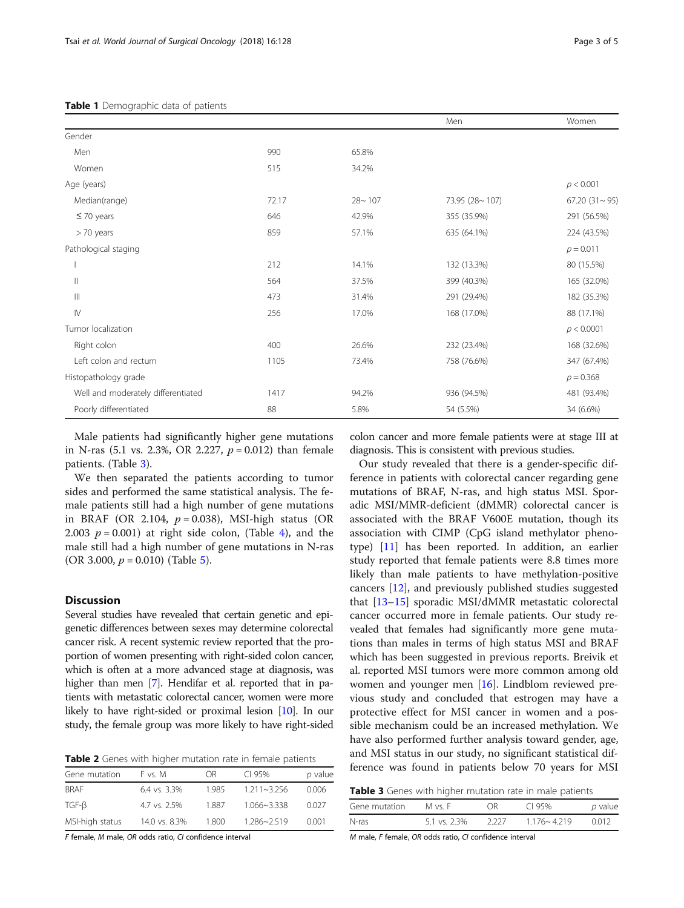| Page 3 o |  |
|----------|--|
|          |  |

<span id="page-2-0"></span>

|                                    |       |            | Men            | Women               |
|------------------------------------|-------|------------|----------------|---------------------|
| Gender                             |       |            |                |                     |
| Men                                | 990   | 65.8%      |                |                     |
| Women                              | 515   | 34.2%      |                |                     |
| Age (years)                        |       |            |                | p < 0.001           |
| Median(range)                      | 72.17 | $28 - 107$ | 73.95 (28~107) | $67.20(31 \sim 95)$ |
| $\leq$ 70 years                    | 646   | 42.9%      | 355 (35.9%)    | 291 (56.5%)         |
| > 70 years                         | 859   | 57.1%      | 635 (64.1%)    | 224 (43.5%)         |
| Pathological staging               |       |            |                | $p = 0.011$         |
|                                    | 212   | 14.1%      | 132 (13.3%)    | 80 (15.5%)          |
| $\mathbb{I}$                       | 564   | 37.5%      | 399 (40.3%)    | 165 (32.0%)         |
| $\mathbb{H}$                       | 473   | 31.4%      | 291 (29.4%)    | 182 (35.3%)         |
| $\mathsf{N}$                       | 256   | 17.0%      | 168 (17.0%)    | 88 (17.1%)          |
| Tumor localization                 |       |            |                | p < 0.0001          |
| Right colon                        | 400   | 26.6%      | 232 (23.4%)    | 168 (32.6%)         |
| Left colon and rectum              | 1105  | 73.4%      | 758 (76.6%)    | 347 (67.4%)         |
| Histopathology grade               |       |            |                | $p = 0.368$         |
| Well and moderately differentiated | 1417  | 94.2%      | 936 (94.5%)    | 481 (93.4%)         |
| Poorly differentiated              | 88    | 5.8%       | 54 (5.5%)      | 34 (6.6%)           |

Male patients had significantly higher gene mutations in N-ras (5.1 vs. 2.3%, OR 2.227,  $p = 0.012$ ) than female patients. (Table 3).

We then separated the patients according to tumor sides and performed the same statistical analysis. The female patients still had a high number of gene mutations in BRAF (OR 2.104,  $p = 0.038$ ), MSI-high status (OR 2.003  $p = 0.001$ ) at right side colon, (Table [4](#page-3-0)), and the male still had a high number of gene mutations in N-ras (OR 3.000,  $p = 0.010$ ) (Table [5](#page-3-0)).

# **Discussion**

Several studies have revealed that certain genetic and epigenetic differences between sexes may determine colorectal cancer risk. A recent systemic review reported that the proportion of women presenting with right-sided colon cancer, which is often at a more advanced stage at diagnosis, was higher than men [\[7\]](#page-4-0). Hendifar et al. reported that in patients with metastatic colorectal cancer, women were more likely to have right-sided or proximal lesion [\[10\]](#page-4-0). In our study, the female group was more likely to have right-sided

Table 2 Genes with higher mutation rate in female patients

| Gene mutation   | F vs. M       | ΩR    | $Cl$ 95%        | p value |
|-----------------|---------------|-------|-----------------|---------|
| <b>BRAF</b>     | 6.4 vs. 3.3%  | 1.985 | $1.211 - 3.256$ | 0.006   |
| $TGF-B$         | 4.7 ys. 2.5%  | 1.887 | $1.066 - 3.338$ | 0.027   |
| MSI-high status | 14.0 vs. 8.3% | 1.800 | 1.286~2.519     | 0.001   |

F female, M male, OR odds ratio, CI confidence interval

colon cancer and more female patients were at stage III at diagnosis. This is consistent with previous studies.

Our study revealed that there is a gender-specific difference in patients with colorectal cancer regarding gene mutations of BRAF, N-ras, and high status MSI. Sporadic MSI/MMR-deficient (dMMR) colorectal cancer is associated with the BRAF V600E mutation, though its association with CIMP (CpG island methylator phenotype) [\[11](#page-4-0)] has been reported. In addition, an earlier study reported that female patients were 8.8 times more likely than male patients to have methylation-positive cancers [[12\]](#page-4-0), and previously published studies suggested that [[13](#page-4-0)–[15](#page-4-0)] sporadic MSI/dMMR metastatic colorectal cancer occurred more in female patients. Our study revealed that females had significantly more gene mutations than males in terms of high status MSI and BRAF which has been suggested in previous reports. Breivik et al. reported MSI tumors were more common among old women and younger men [\[16](#page-4-0)]. Lindblom reviewed previous study and concluded that estrogen may have a protective effect for MSI cancer in women and a possible mechanism could be an increased methylation. We have also performed further analysis toward gender, age, and MSI status in our study, no significant statistical difference was found in patients below 70 years for MSI

| Table 3 Genes with higher mutation rate in male patients |  |  |  |
|----------------------------------------------------------|--|--|--|
|----------------------------------------------------------|--|--|--|

| Gene mutation | M vs. F      | OR.  | CI 95%          | p value |
|---------------|--------------|------|-----------------|---------|
| N-ras         | 5.1 vs. 2.3% | 2227 | $1.176 - 4.219$ | 0012    |

M male, F female, OR odds ratio, CI confidence interval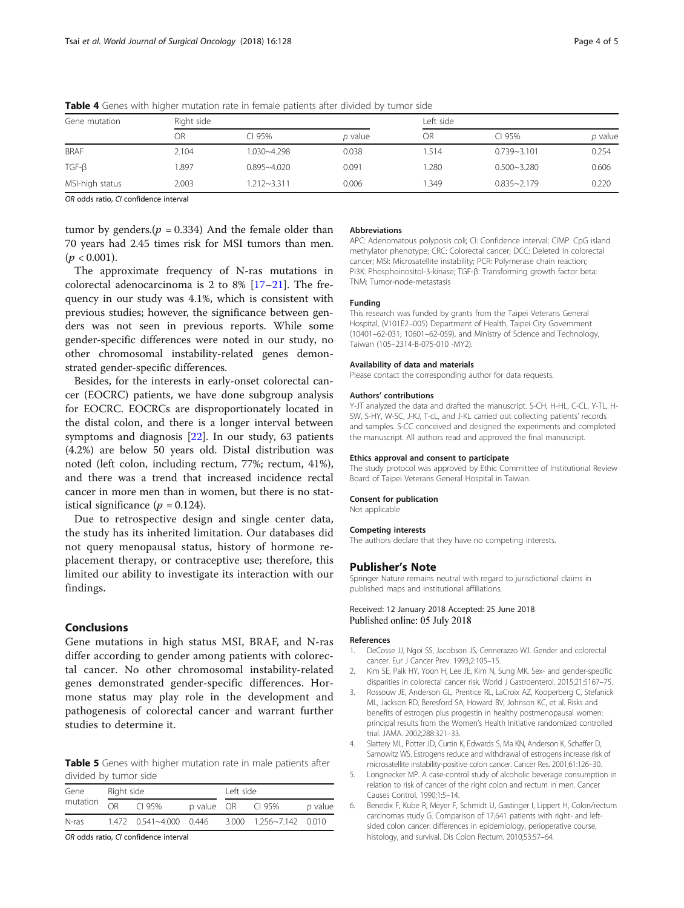| Gene mutation   | Right side |                 |         |       | Left side       |         |  |
|-----------------|------------|-----------------|---------|-------|-----------------|---------|--|
|                 | OR         | CI 95%          | p value | OR    | CI 95%          | p value |  |
| <b>BRAF</b>     | 2.104      | 1.030~4.298     | 0.038   | 1.514 | $0.739 - 3.101$ | 0.254   |  |
| $TGF-\beta$     | 1.897      | $0.895 - 4.020$ | 0.091   | .280  | $0.500 - 3.280$ | 0.606   |  |
| MSI-high status | 2.003      | $1.212 - 3.311$ | 0.006   | 1.349 | $0.835 - 2.179$ | 0.220   |  |

<span id="page-3-0"></span>Table 4 Genes with higher mutation rate in female patients after divided by tumor side

OR odds ratio, CI confidence interval

tumor by genders.( $p = 0.334$ ) And the female older than 70 years had 2.45 times risk for MSI tumors than men.  $(p < 0.001)$ .

The approximate frequency of N-ras mutations in colorectal adenocarcinoma is 2 to 8% [\[17](#page-4-0)–[21\]](#page-4-0). The frequency in our study was 4.1%, which is consistent with previous studies; however, the significance between genders was not seen in previous reports. While some gender-specific differences were noted in our study, no other chromosomal instability-related genes demonstrated gender-specific differences.

Besides, for the interests in early-onset colorectal cancer (EOCRC) patients, we have done subgroup analysis for EOCRC. EOCRCs are disproportionately located in the distal colon, and there is a longer interval between symptoms and diagnosis [\[22](#page-4-0)]. In our study, 63 patients (4.2%) are below 50 years old. Distal distribution was noted (left colon, including rectum, 77%; rectum, 41%), and there was a trend that increased incidence rectal cancer in more men than in women, but there is no statistical significance ( $p = 0.124$ ).

Due to retrospective design and single center data, the study has its inherited limitation. Our databases did not query menopausal status, history of hormone replacement therapy, or contraceptive use; therefore, this limited our ability to investigate its interaction with our findings.

# Conclusions

Gene mutations in high status MSI, BRAF, and N-ras differ according to gender among patients with colorectal cancer. No other chromosomal instability-related genes demonstrated gender-specific differences. Hormone status may play role in the development and pathogenesis of colorectal cancer and warrant further studies to determine it.

Table 5 Genes with higher mutation rate in male patients after divided by tumor side

| Gene<br>Right side |    | Left side               |            |  |                                               |           |
|--------------------|----|-------------------------|------------|--|-----------------------------------------------|-----------|
| mutation           | OR | C195%                   | p value OR |  | CI 95%                                        | $p$ value |
| N-ras              |    | 1.472 0.541~4.000 0.446 |            |  | $3.000 \quad 1.256 \approx 7.142 \quad 0.010$ |           |

OR odds ratio, CI confidence interval

### Abbreviations

APC: Adenomatous polyposis coli; CI: Confidence interval; CIMP: CpG island methylator phenotype; CRC: Colorectal cancer; DCC: Deleted in colorectal cancer; MSI: Microsatellite instability; PCR: Polymerase chain reaction; PI3K: Phosphoinositol-3-kinase; TGF-β: Transforming growth factor beta; TNM: Tumor-node-metastasis

## Funding

This research was funded by grants from the Taipei Veterans General Hospital, (V101E2–005) Department of Health, Taipei City Government (10401–62-031; 10601–62-059), and Ministry of Science and Technology, Taiwan (105–2314-B-075-010 -MY2).

#### Availability of data and materials

Please contact the corresponding author for data requests.

#### Authors' contributions

Y-JT analyzed the data and drafted the manuscript. S-CH, H-HL, C-CL, Y-TL, H-SW, S-HY, W-SC, J-KJ, T-cL, and J-KL carried out collecting patients' records and samples. S-CC conceived and designed the experiments and completed the manuscript. All authors read and approved the final manuscript.

#### Ethics approval and consent to participate

The study protocol was approved by Ethic Committee of Institutional Review Board of Taipei Veterans General Hospital in Taiwan.

#### Consent for publication

Not applicable

#### Competing interests

The authors declare that they have no competing interests.

### Publisher's Note

Springer Nature remains neutral with regard to jurisdictional claims in published maps and institutional affiliations.

# Received: 12 January 2018 Accepted: 25 June 2018 Published online: 05 July 2018

#### References

- 1. DeCosse JJ, Ngoi SS, Jacobson JS, Cennerazzo WJ. Gender and colorectal cancer. Eur J Cancer Prev. 1993;2:105–15.
- Kim SE, Paik HY, Yoon H, Lee JE, Kim N, Sung MK. Sex- and gender-specific disparities in colorectal cancer risk. World J Gastroenterol. 2015;21:5167–75.
- 3. Rossouw JE, Anderson GL, Prentice RL, LaCroix AZ, Kooperberg C, Stefanick ML, Jackson RD, Beresford SA, Howard BV, Johnson KC, et al. Risks and benefits of estrogen plus progestin in healthy postmenopausal women: principal results from the Women's Health Initiative randomized controlled trial. JAMA. 2002;288:321–33.
- Slattery ML, Potter JD, Curtin K, Edwards S, Ma KN, Anderson K, Schaffer D, Samowitz WS. Estrogens reduce and withdrawal of estrogens increase risk of microsatellite instability-positive colon cancer. Cancer Res. 2001;61:126–30.
- 5. Longnecker MP. A case-control study of alcoholic beverage consumption in relation to risk of cancer of the right colon and rectum in men. Cancer Causes Control. 1990;1:5–14.
- 6. Benedix F, Kube R, Meyer F, Schmidt U, Gastinger I, Lippert H, Colon/rectum carcinomas study G. Comparison of 17,641 patients with right- and leftsided colon cancer: differences in epidemiology, perioperative course, histology, and survival. Dis Colon Rectum. 2010;53:57–64.